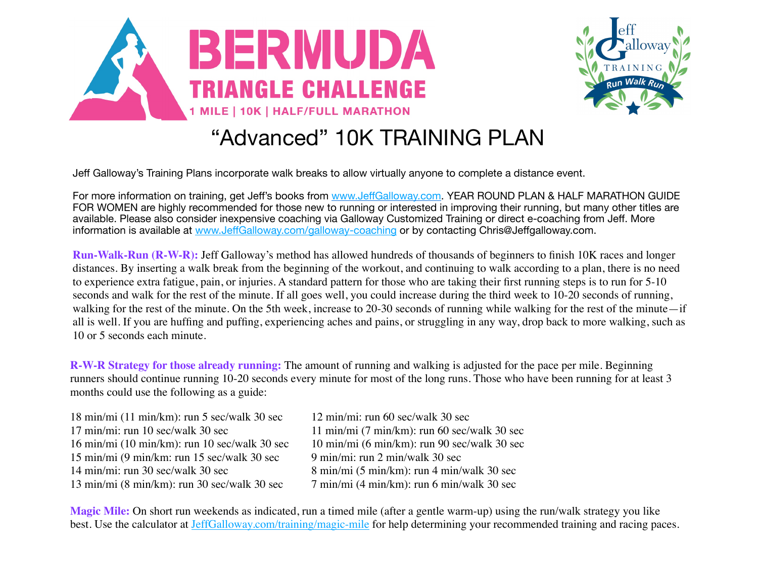



## "Advanced" 10K TRAINING PLAN

Jeff Galloway's Training Plans incorporate walk breaks to allow virtually anyone to complete a distance event.

For more information on training, get Jeff's books from www.Jeff[Galloway.com.](http://www.jeffgalloway.com/) YEAR ROUND PLAN & HALF MARATHON GUIDE FOR WOMEN are highly recommended for those new to running or interested in improving their running, but many other titles are available. Please also consider inexpensive coaching via Galloway Customized Training or direct e-coaching from Jeff. More information is available at www.Jeff[Galloway.com/galloway-coaching](http://www.jeffgalloway.com/galloway-coaching) or by contacting Chris@Jeffgalloway.com.

**Run-Walk-Run (R-W-R):** Jeff Galloway's method has allowed hundreds of thousands of beginners to finish 10K races and longer distances. By inserting a walk break from the beginning of the workout, and continuing to walk according to a plan, there is no need to experience extra fatigue, pain, or injuries. A standard pattern for those who are taking their first running steps is to run for 5-10 seconds and walk for the rest of the minute. If all goes well, you could increase during the third week to 10-20 seconds of running, walking for the rest of the minute. On the 5th week, increase to 20-30 seconds of running while walking for the rest of the minute—if all is well. If you are huffing and puffing, experiencing aches and pains, or struggling in any way, drop back to more walking, such as 10 or 5 seconds each minute.

**R-W-R Strategy for those already running:** The amount of running and walking is adjusted for the pace per mile. Beginning runners should continue running 10-20 seconds every minute for most of the long runs. Those who have been running for at least 3 months could use the following as a guide:

18 min/mi (11 min/km): run 5 sec/walk 30 sec 12 min/mi: run 60 sec/walk 30 sec  $17 \text{ min/min}$ : run  $10 \text{ sec/walk } 30 \text{ sec}$   $11 \text{ min/min } (7 \text{ min/km})$ : run  $60 \text{ sec/walk } 30 \text{ sec}$ 16 min/mi (10 min/km): run 10 sec/walk 30 sec 10 min/mi (6 min/km): run 90 sec/walk 30 sec 15 min/mi (9 min/km: run 15 sec/walk 30 sec 9 min/mi: run 2 min/walk 30 sec 14 min/mi: run 30 sec/walk 30 sec  $\frac{8 \text{ min}}{\text{ min}}$  (5 min/km): run 4 min/walk 30 sec 13 min/mi (8 min/km): run 30 sec/walk 30 sec 7 min/mi (4 min/km): run 6 min/walk 30 sec

**Magic Mile:** On short run weekends as indicated, run a timed mile (after a gentle warm-up) using the run/walk strategy you like best. Use the calculator at [JeffGalloway.com/training/magic-mile](http://JeffGalloway.com/training/magic-mile) for help determining your recommended training and racing paces.